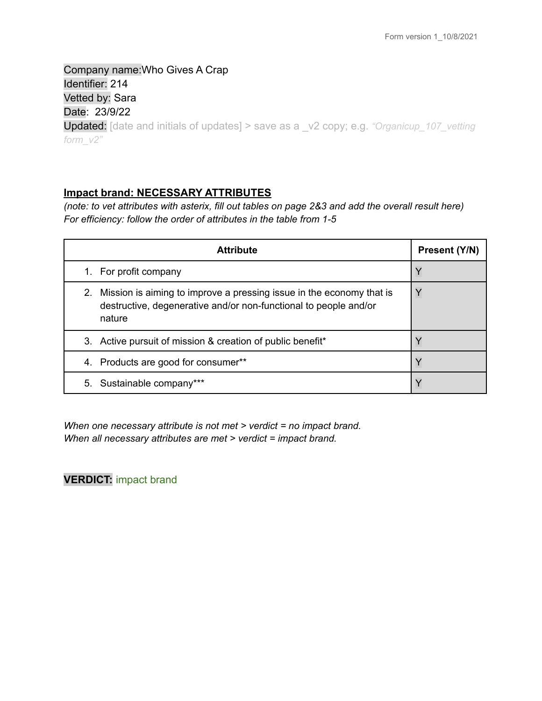Company name:Who Gives A Crap Identifier: 214 Vetted by: Sara Date: 23/9/22 Updated: [date and initials of updates] > save as a \_v2 copy; e.g. *"Organicup\_107\_vetting form\_v2"*

## **Impact brand: NECESSARY ATTRIBUTES**

(note: to vet attributes with asterix, fill out tables on page 2&3 and add the overall result here) *For efficiency: follow the order of attributes in the table from 1-5*

| <b>Attribute</b>                                                                                                                                      | Present (Y/N) |
|-------------------------------------------------------------------------------------------------------------------------------------------------------|---------------|
| 1. For profit company                                                                                                                                 | Y             |
| 2. Mission is aiming to improve a pressing issue in the economy that is<br>destructive, degenerative and/or non-functional to people and/or<br>nature |               |
| 3. Active pursuit of mission & creation of public benefit*                                                                                            |               |
| Products are good for consumer**<br>4.                                                                                                                |               |
| 5. Sustainable company***                                                                                                                             |               |

*When one necessary attribute is not met > verdict = no impact brand. When all necessary attributes are met > verdict = impact brand.*

**VERDICT:** impact brand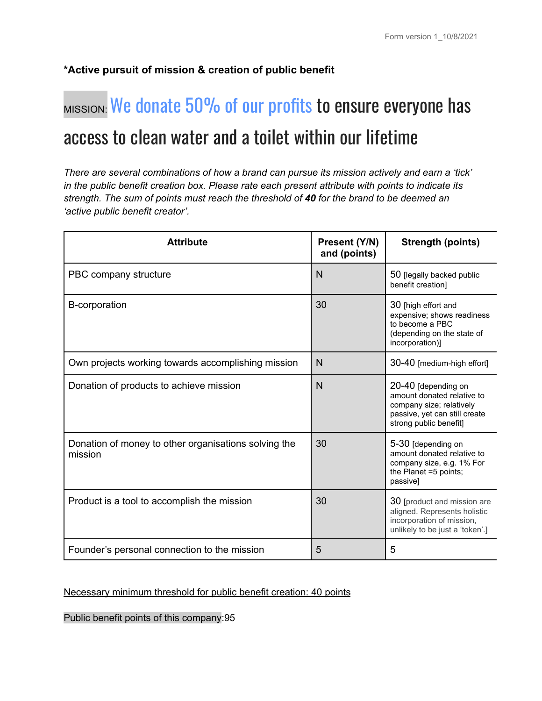# **\*Active pursuit of mission & creation of public benefit**

# MISSION: We donate 50% of our profits to ensure everyone has access to clean water and a toilet within our lifetime

*There are several combinations of how a brand can pursue its mission actively and earn a 'tick' in the public benefit creation box. Please rate each present attribute with points to indicate its strength. The sum of points must reach the threshold of 40 for the brand to be deemed an 'active public benefit creator'.*

| <b>Attribute</b>                                                | Present (Y/N)<br>and (points) | <b>Strength (points)</b>                                                                                                                 |
|-----------------------------------------------------------------|-------------------------------|------------------------------------------------------------------------------------------------------------------------------------------|
| PBC company structure                                           | N                             | 50 [legally backed public<br>benefit creation]                                                                                           |
| B-corporation                                                   | 30                            | 30 [high effort and<br>expensive; shows readiness<br>to become a PBC<br>(depending on the state of<br>incorporation)]                    |
| Own projects working towards accomplishing mission              | N                             | 30-40 [medium-high effort]                                                                                                               |
| Donation of products to achieve mission                         | N                             | 20-40 [depending on<br>amount donated relative to<br>company size; relatively<br>passive, yet can still create<br>strong public benefit] |
| Donation of money to other organisations solving the<br>mission | 30                            | 5-30 [depending on<br>amount donated relative to<br>company size, e.g. 1% For<br>the Planet =5 points;<br>passive]                       |
| Product is a tool to accomplish the mission                     | 30                            | 30 [product and mission are<br>aligned. Represents holistic<br>incorporation of mission,<br>unlikely to be just a 'token'.]              |
| Founder's personal connection to the mission                    | 5                             | 5                                                                                                                                        |

## Necessary minimum threshold for public benefit creation: 40 points

Public benefit points of this company:95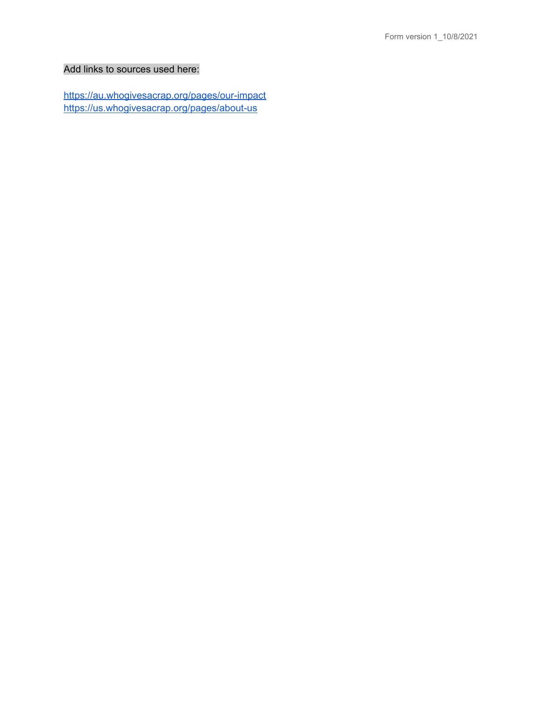## Add links to sources used here:

<https://au.whogivesacrap.org/pages/our-impact> <https://us.whogivesacrap.org/pages/about-us>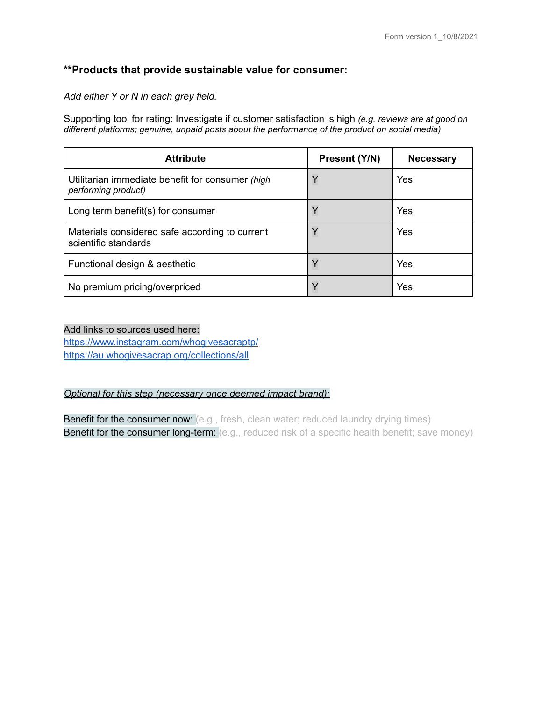# **\*\*Products that provide sustainable value for consumer:**

*Add either Y or N in each grey field.*

Supporting tool for rating: Investigate if customer satisfaction is high *(e.g. reviews are at good on different platforms; genuine, unpaid posts about the performance of the product on social media)*

| <b>Attribute</b>                                                        | Present (Y/N) | <b>Necessary</b> |
|-------------------------------------------------------------------------|---------------|------------------|
| Utilitarian immediate benefit for consumer (high<br>performing product) | Y             | Yes              |
| Long term benefit(s) for consumer                                       | $\checkmark$  | Yes              |
| Materials considered safe according to current<br>scientific standards  | Y             | Yes              |
| Functional design & aesthetic                                           | Y             | Yes              |
| No premium pricing/overpriced                                           | $\checkmark$  | Yes              |

#### Add links to sources used here:

<https://www.instagram.com/whogivesacraptp/> <https://au.whogivesacrap.org/collections/all>

#### *Optional for this step (necessary once deemed impact brand):*

Benefit for the consumer now: (e.g., fresh, clean water; reduced laundry drying times) **Benefit for the consumer long-term:** (e.g., reduced risk of a specific health benefit; save money)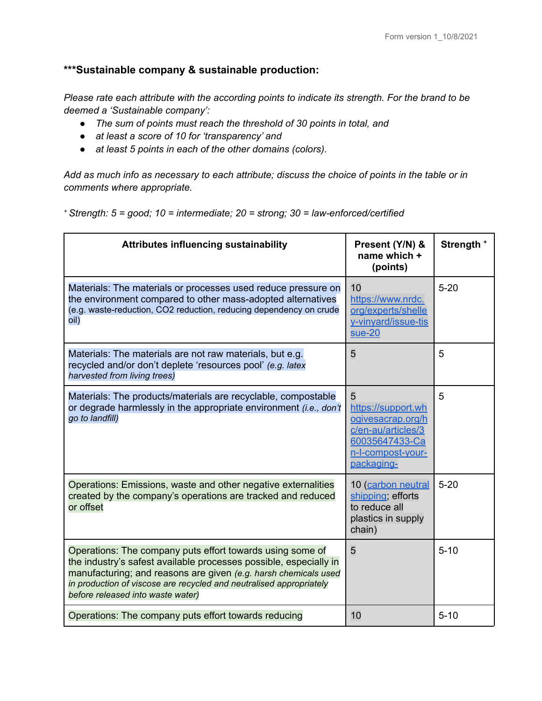# **\*\*\*Sustainable company & sustainable production:**

*Please rate each attribute with the according points to indicate its strength. For the brand to be deemed a 'Sustainable company':*

- *● The sum of points must reach the threshold of 30 points in total, and*
- *● at least a score of 10 for 'transparency' and*
- *● at least 5 points in each of the other domains (colors).*

Add as much info as necessary to each attribute; discuss the choice of points in the table or in *comments where appropriate.*

*<sup>+</sup> Strength: 5 = good; 10 = intermediate; 20 = strong; 30 = law-enforced/certified*

| <b>Attributes influencing sustainability</b>                                                                                                                                                                                                                                                                  | Present (Y/N) &<br>name which +<br>(points)                                                                             | Strength <sup>+</sup> |
|---------------------------------------------------------------------------------------------------------------------------------------------------------------------------------------------------------------------------------------------------------------------------------------------------------------|-------------------------------------------------------------------------------------------------------------------------|-----------------------|
| Materials: The materials or processes used reduce pressure on<br>the environment compared to other mass-adopted alternatives<br>(e.g. waste-reduction, CO2 reduction, reducing dependency on crude<br>oil)                                                                                                    | 10<br>https://www.nrdc.<br>org/experts/shelle<br>y-vinyard/issue-tis<br>$sue-20$                                        | $5 - 20$              |
| Materials: The materials are not raw materials, but e.g.<br>recycled and/or don't deplete 'resources pool' (e.g. latex<br>harvested from living trees)                                                                                                                                                        | 5                                                                                                                       | 5                     |
| Materials: The products/materials are recyclable, compostable<br>or degrade harmlessly in the appropriate environment (i.e., don't<br>go to landfill)                                                                                                                                                         | 5<br>https://support.wh<br>ogivesacrap.org/h<br>c/en-au/articles/3<br>60035647433-Ca<br>n-I-compost-your-<br>packaging- | 5                     |
| Operations: Emissions, waste and other negative externalities<br>created by the company's operations are tracked and reduced<br>or offset                                                                                                                                                                     | 10 (carbon neutral<br>shipping; efforts<br>to reduce all<br>plastics in supply<br>chain)                                | $5 - 20$              |
| Operations: The company puts effort towards using some of<br>the industry's safest available processes possible, especially in<br>manufacturing; and reasons are given (e.g. harsh chemicals used<br>in production of viscose are recycled and neutralised appropriately<br>before released into waste water) | 5                                                                                                                       | $5 - 10$              |
| Operations: The company puts effort towards reducing                                                                                                                                                                                                                                                          | 10                                                                                                                      | $5 - 10$              |